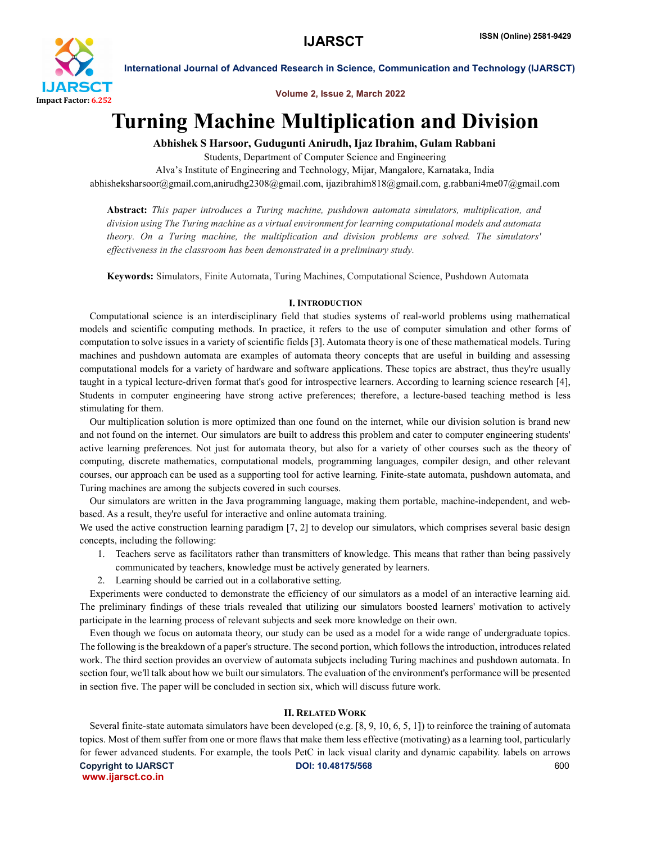

Volume 2, Issue 2, March 2022

# Turning Machine Multiplication and Division

Abhishek S Harsoor, Gudugunti Anirudh, Ijaz Ibrahim, Gulam Rabbani

Students, Department of Computer Science and Engineering

Alva's Institute of Engineering and Technology, Mijar, Mangalore, Karnataka, India abhisheksharsoor@gmail.com,anirudhg2308@gmail.com, ijazibrahim818@gmail.com, g.rabbani4me07@gmail.com

Abstract: *This paper introduces a Turing machine, pushdown automata simulators, multiplication, and division using The Turing machine as a virtual environment for learning computational models and automata theory. On a Turing machine, the multiplication and division problems are solved. The simulators' effectiveness in the classroom has been demonstrated in a preliminary study.*

Keywords: Simulators, Finite Automata, Turing Machines, Computational Science, Pushdown Automata

#### **I. INTRODUCTION**

 Computational science is an interdisciplinary field that studies systems of real-world problems using mathematical models and scientific computing methods. In practice, it refers to the use of computer simulation and other forms of computation to solve issues in a variety of scientific fields [3]. Automata theory is one of these mathematical models. Turing machines and pushdown automata are examples of automata theory concepts that are useful in building and assessing computational models for a variety of hardware and software applications. These topics are abstract, thus they're usually taught in a typical lecture-driven format that's good for introspective learners. According to learning science research [4], Students in computer engineering have strong active preferences; therefore, a lecture-based teaching method is less stimulating for them.

 Our multiplication solution is more optimized than one found on the internet, while our division solution is brand new and not found on the internet. Our simulators are built to address this problem and cater to computer engineering students' active learning preferences. Not just for automata theory, but also for a variety of other courses such as the theory of computing, discrete mathematics, computational models, programming languages, compiler design, and other relevant courses, our approach can be used as a supporting tool for active learning. Finite-state automata, pushdown automata, and Turing machines are among the subjects covered in such courses.

 Our simulators are written in the Java programming language, making them portable, machine-independent, and webbased. As a result, they're useful for interactive and online automata training.

We used the active construction learning paradigm [7, 2] to develop our simulators, which comprises several basic design concepts, including the following:

- 1. Teachers serve as facilitators rather than transmitters of knowledge. This means that rather than being passively communicated by teachers, knowledge must be actively generated by learners.
- 2. Learning should be carried out in a collaborative setting.

 Experiments were conducted to demonstrate the efficiency of our simulators as a model of an interactive learning aid. The preliminary findings of these trials revealed that utilizing our simulators boosted learners' motivation to actively participate in the learning process of relevant subjects and seek more knowledge on their own.

 Even though we focus on automata theory, our study can be used as a model for a wide range of undergraduate topics. The following is the breakdown of a paper's structure. The second portion, which follows the introduction, introduces related work. The third section provides an overview of automata subjects including Turing machines and pushdown automata. In section four, we'll talk about how we built our simulators. The evaluation of the environment's performance will be presented in section five. The paper will be concluded in section six, which will discuss future work.

#### II. RELATED WORK

Copyright to IJARSCT **Community** CODI: 10.48175/568 **CODI**: 10.48175/568 www.ijarsct.co.in Several finite-state automata simulators have been developed (e.g. [8, 9, 10, 6, 5, 1]) to reinforce the training of automata topics. Most of them suffer from one or more flaws that make them less effective (motivating) as a learning tool, particularly for fewer advanced students. For example, the tools PetC in lack visual clarity and dynamic capability. labels on arrows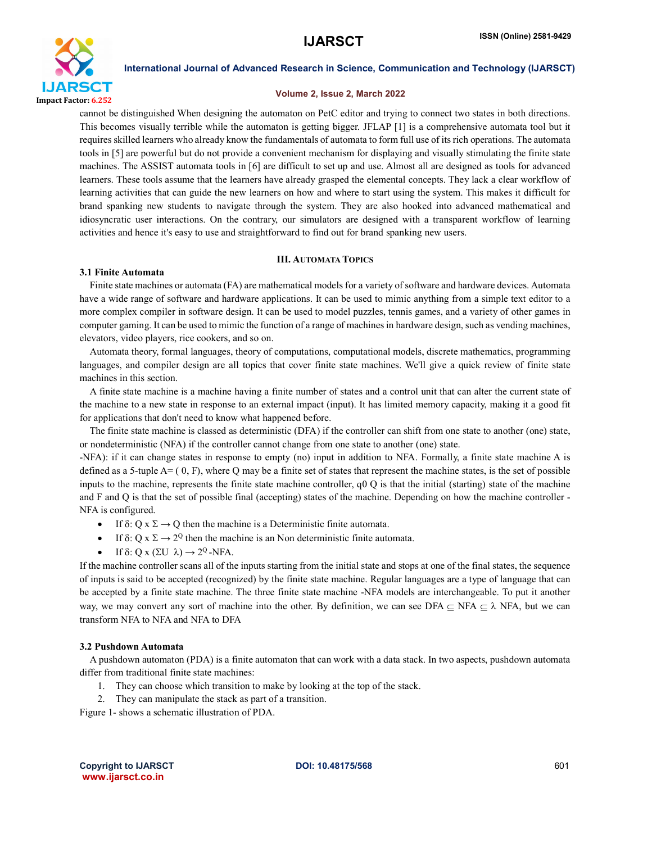

#### Volume 2, Issue 2, March 2022

cannot be distinguished When designing the automaton on PetC editor and trying to connect two states in both directions. This becomes visually terrible while the automaton is getting bigger. JFLAP [1] is a comprehensive automata tool but it requires skilled learners who already know the fundamentals of automata to form full use of its rich operations. The automata tools in [5] are powerful but do not provide a convenient mechanism for displaying and visually stimulating the finite state machines. The ASSIST automata tools in [6] are difficult to set up and use. Almost all are designed as tools for advanced learners. These tools assume that the learners have already grasped the elemental concepts. They lack a clear workflow of learning activities that can guide the new learners on how and where to start using the system. This makes it difficult for brand spanking new students to navigate through the system. They are also hooked into advanced mathematical and idiosyncratic user interactions. On the contrary, our simulators are designed with a transparent workflow of learning activities and hence it's easy to use and straightforward to find out for brand spanking new users.

### III. AUTOMATA TOPICS

#### 3.1 Finite Automata

 Finite state machines or automata (FA) are mathematical models for a variety of software and hardware devices. Automata have a wide range of software and hardware applications. It can be used to mimic anything from a simple text editor to a more complex compiler in software design. It can be used to model puzzles, tennis games, and a variety of other games in computer gaming. It can be used to mimic the function of a range of machines in hardware design, such as vending machines, elevators, video players, rice cookers, and so on.

 Automata theory, formal languages, theory of computations, computational models, discrete mathematics, programming languages, and compiler design are all topics that cover finite state machines. We'll give a quick review of finite state machines in this section.

 A finite state machine is a machine having a finite number of states and a control unit that can alter the current state of the machine to a new state in response to an external impact (input). It has limited memory capacity, making it a good fit for applications that don't need to know what happened before.

 The finite state machine is classed as deterministic (DFA) if the controller can shift from one state to another (one) state, or nondeterministic (NFA) if the controller cannot change from one state to another (one) state.

-NFA): if it can change states in response to empty (no) input in addition to NFA. Formally, a finite state machine A is defined as a 5-tuple  $A=(0, F)$ , where Q may be a finite set of states that represent the machine states, is the set of possible inputs to the machine, represents the finite state machine controller, q0 Q is that the initial (starting) state of the machine and F and Q is that the set of possible final (accepting) states of the machine. Depending on how the machine controller - NFA is configured.

- If  $\delta$ : Q x  $\Sigma \rightarrow Q$  then the machine is a Deterministic finite automata.
- If  $\delta$ : Q x  $\Sigma \rightarrow 2^{\mathbb{Q}}$  then the machine is an Non deterministic finite automata.
- If  $\delta$ : Q x ( $\Sigma$ U  $\lambda$ )  $\rightarrow$  2<sup>Q</sup> -NFA.

If the machine controller scans all of the inputs starting from the initial state and stops at one of the final states, the sequence of inputs is said to be accepted (recognized) by the finite state machine. Regular languages are a type of language that can be accepted by a finite state machine. The three finite state machine -NFA models are interchangeable. To put it another way, we may convert any sort of machine into the other. By definition, we can see DFA  $\subseteq$  NFA  $\subseteq$  NFA, but we can transform NFA to NFA and NFA to DFA

### 3.2 Pushdown Automata

 A pushdown automaton (PDA) is a finite automaton that can work with a data stack. In two aspects, pushdown automata differ from traditional finite state machines:

- 1. They can choose which transition to make by looking at the top of the stack.
- 2. They can manipulate the stack as part of a transition.

Figure 1- shows a schematic illustration of PDA.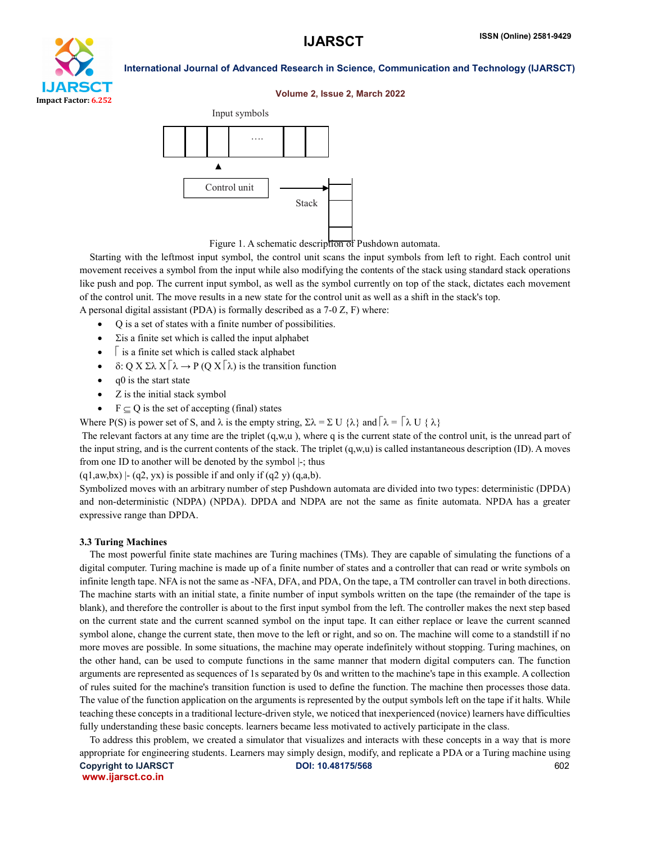

#### Volume 2, Issue 2, March 2022





 Starting with the leftmost input symbol, the control unit scans the input symbols from left to right. Each control unit movement receives a symbol from the input while also modifying the contents of the stack using standard stack operations like push and pop. The current input symbol, as well as the symbol currently on top of the stack, dictates each movement of the control unit. The move results in a new state for the control unit as well as a shift in the stack's top.

A personal digital assistant (PDA) is formally described as a 7-0 Z, F) where:

- Q is a set of states with a finite number of possibilities.
- $\Sigma$ is a finite set which is called the input alphabet
- $\sqrt{\ }$  is a finite set which is called stack alphabet
- $\bullet$   $\delta$ : Q X  $\Sigma \lambda$  X  $\lceil \lambda \rightarrow P$  (Q X  $\lceil \lambda \rangle$ ) is the transition function
- $\bullet$  q0 is the start state
- Z is the initial stack symbol
- $F \subseteq Q$  is the set of accepting (final) states

Where P(S) is power set of S, and  $\lambda$  is the empty string,  $\Sigma \lambda = \Sigma U \{\lambda\}$  and  $\lceil \lambda = \lceil \lambda U \{\lambda\} \rceil$ 

The relevant factors at any time are the triplet  $(q,w,u)$ , where q is the current state of the control unit, is the unread part of the input string, and is the current contents of the stack. The triplet  $(q, w, u)$  is called instantaneous description (ID). A moves from one ID to another will be denoted by the symbol |-; thus

 $(q1,aw,bx)$  |- (q2, yx) is possible if and only if (q2 y) (q,a,b).

Symbolized moves with an arbitrary number of step Pushdown automata are divided into two types: deterministic (DPDA) and non-deterministic (NDPA) (NPDA). DPDA and NDPA are not the same as finite automata. NPDA has a greater expressive range than DPDA.

#### 3.3 Turing Machines

 The most powerful finite state machines are Turing machines (TMs). They are capable of simulating the functions of a digital computer. Turing machine is made up of a finite number of states and a controller that can read or write symbols on infinite length tape. NFA is not the same as -NFA, DFA, and PDA, On the tape, a TM controller can travel in both directions. The machine starts with an initial state, a finite number of input symbols written on the tape (the remainder of the tape is blank), and therefore the controller is about to the first input symbol from the left. The controller makes the next step based on the current state and the current scanned symbol on the input tape. It can either replace or leave the current scanned symbol alone, change the current state, then move to the left or right, and so on. The machine will come to a standstill if no more moves are possible. In some situations, the machine may operate indefinitely without stopping. Turing machines, on the other hand, can be used to compute functions in the same manner that modern digital computers can. The function arguments are represented as sequences of 1s separated by 0s and written to the machine's tape in this example. A collection of rules suited for the machine's transition function is used to define the function. The machine then processes those data. The value of the function application on the arguments is represented by the output symbols left on the tape if it halts. While teaching these concepts in a traditional lecture-driven style, we noticed that inexperienced (novice) learners have difficulties fully understanding these basic concepts. learners became less motivated to actively participate in the class.

Copyright to IJARSCT **Contract COVID-10.48175/568 Contract COVID-10.48175/568 COVID-10.48175/568** www.ijarsct.co.in To address this problem, we created a simulator that visualizes and interacts with these concepts in a way that is more appropriate for engineering students. Learners may simply design, modify, and replicate a PDA or a Turing machine using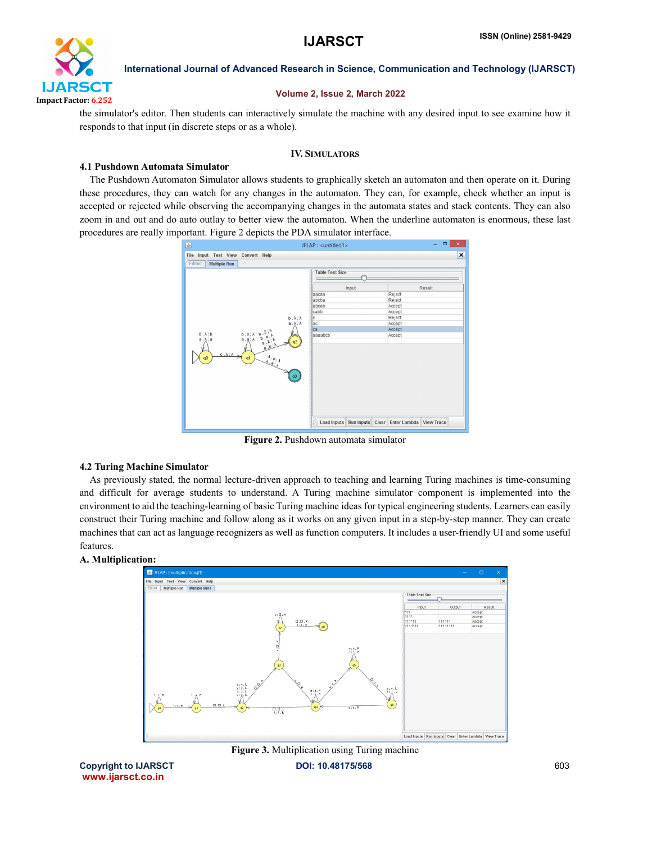

#### Volume 2, Issue 2, March 2022

the simulator's editor. Then students can interactively simulate the machine with any desired input to see examine how it responds to that input (in discrete steps or as a whole).

#### IV. SIMULATORS

#### 4.1 Pushdown Automata Simulator

 The Pushdown Automaton Simulator allows students to graphically sketch an automaton and then operate on it. During these procedures, they can watch for any changes in the automaton. They can, for example, check whether an input is accepted or rejected while observing the accompanying changes in the automata states and stack contents. They can also zoom in and out and do auto outlay to better view the automaton. When the underline automaton is enormous, these last procedures are really important. Figure 2 depicts the PDA simulator interface.



Figure 2. Pushdown automata simulator

#### 4.2 Turing Machine Simulator

 As previously stated, the normal lecture-driven approach to teaching and learning Turing machines is time-consuming and difficult for average students to understand. A Turing machine simulator component is implemented into the environment to aid the teaching-learning of basic Turing machine ideas for typical engineering students. Learners can easily construct their Turing machine and follow along as it works on any given input in a step-by-step manner. They can create machines that can act as language recognizers as well as function computers. It includes a user-friendly UI and some useful features.

#### A. Multiplication:





www.ijarsct.co.in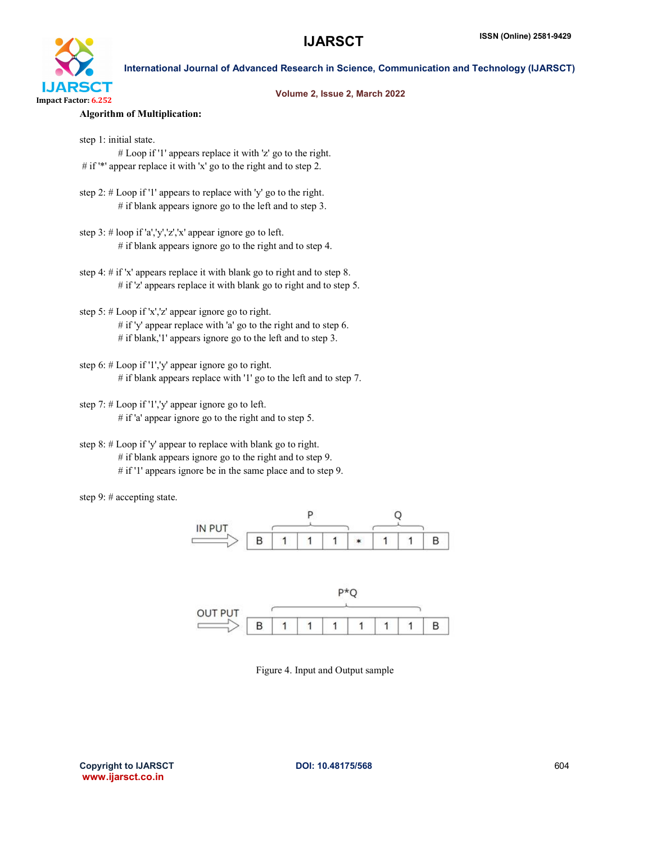

#### Volume 2, Issue 2, March 2022

#### Algorithm of Multiplication:

step 1: initial state. # Loop if '1' appears replace it with 'z' go to the right. # if '\*' appear replace it with 'x' go to the right and to step 2.

step 2: # Loop if '1' appears to replace with 'y' go to the right.  $#$  if blank appears ignore go to the left and to step 3.

step 3: # loop if 'a','y','z','x' appear ignore go to left. # if blank appears ignore go to the right and to step 4.

step 4: # if 'x' appears replace it with blank go to right and to step 8. # if 'z' appears replace it with blank go to right and to step 5.

- step 5: # Loop if 'x','z' appear ignore go to right.  $#$  if 'y' appear replace with 'a' go to the right and to step 6. # if blank,'1' appears ignore go to the left and to step 3.
- step 6: # Loop if '1','y' appear ignore go to right. # if blank appears replace with '1' go to the left and to step 7.
- step 7: # Loop if '1','y' appear ignore go to left.  $#$  if 'a' appear ignore go to the right and to step 5.

step 8: # Loop if 'y' appear to replace with blank go to right. # if blank appears ignore go to the right and to step 9. # if '1' appears ignore be in the same place and to step 9.

step 9: # accepting state.





Figure 4. Input and Output sample

Copyright to IJARSCT **Community CO**I: 10.48175/568 **604 604** www.ijarsct.co.in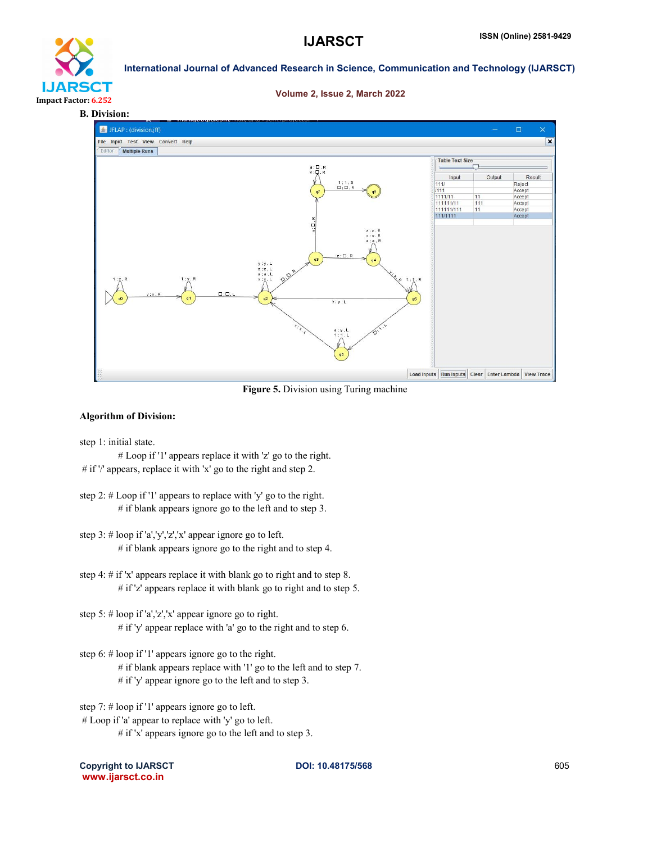

# IJARS **CIT** Impact Factor: 6.252

International Journal of Advanced Research in Science, Communication and Technology (IJARSCT)

#### Volume 2, Issue 2, March 2022

#### B. Division:



Figure 5. Division using Turing machine

#### Algorithm of Division:

step 1: initial state.

# Loop if '1' appears replace it with 'z' go to the right. # if '/' appears, replace it with 'x' go to the right and step 2.

- step 2: # Loop if '1' appears to replace with 'y' go to the right. # if blank appears ignore go to the left and to step 3.
- step 3: # loop if 'a','y','z','x' appear ignore go to left. # if blank appears ignore go to the right and to step 4.
- step 4: # if 'x' appears replace it with blank go to right and to step 8. # if 'z' appears replace it with blank go to right and to step 5.
- step 5: # loop if 'a','z','x' appear ignore go to right.  $#$  if 'y' appear replace with 'a' go to the right and to step 6.

step 6: # loop if '1' appears ignore go to the right.

- # if blank appears replace with '1' go to the left and to step 7.
- # if 'y' appear ignore go to the left and to step 3.

step 7: # loop if '1' appears ignore go to left.

- # Loop if 'a' appear to replace with 'y' go to left.
	- # if 'x' appears ignore go to the left and to step 3.

Copyright to IJARSCT **DOI: 10.48175/568 Copyright to IJARSCT** 605 www.ijarsct.co.in